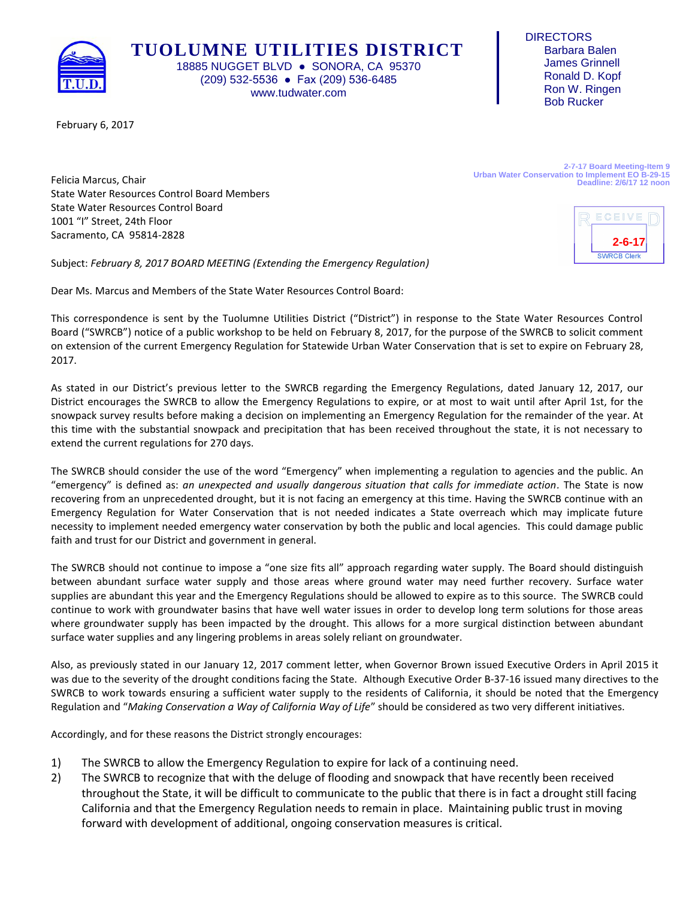

**TUOLUMNE UTILITIES DISTRICT** 18885 NUGGET BLVD · SONORA, CA 95370 (209) 532-5536 ● Fax (209) 536-6485

www.tudwater.com

**DIRECTORS**  Barbara Balen James Grinnell Ronald D. Kopf Ron W. Ringen Bob Rucker

February 6, 2017

**2-7-17 Board Meeting-Item 9 Urban Water Conservation to Implement EO B-29-15 Deadline: 2/6/17 12 noon**

Felicia Marcus, Chair State Water Resources Control Board Members State Water Resources Control Board 1001 "I" Street, 24th Floor Sacramento, CA 95814-2828

Subject: *February 8, 2017 BOARD MEETING (Extending the Emergency Regulation)*

Dear Ms. Marcus and Members of the State Water Resources Control Board:

This correspondence is sent by the Tuolumne Utilities District ("District") in response to the State Water Resources Control Board ("SWRCB") notice of a public workshop to be held on February 8, 2017, for the purpose of the SWRCB to solicit comment on extension of the current Emergency Regulation for Statewide Urban Water Conservation that is set to expire on February 28, 2017.

As stated in our District's previous letter to the SWRCB regarding the Emergency Regulations, dated January 12, 2017, our District encourages the SWRCB to allow the Emergency Regulations to expire, or at most to wait until after April 1st, for the snowpack survey results before making a decision on implementing an Emergency Regulation for the remainder of the year. At this time with the substantial snowpack and precipitation that has been received throughout the state, it is not necessary to extend the current regulations for 270 days.

The SWRCB should consider the use of the word "Emergency" when implementing a regulation to agencies and the public. An "emergency" is defined as: *an unexpected and usually dangerous situation that calls for immediate action.* The State is now recovering from an unprecedented drought, but it is not facing an emergency at this time. Having the SWRCB continue with an Emergency Regulation for Water Conservation that is not needed indicates a State overreach which may implicate future necessity to implement needed emergency water conservation by both the public and local agencies. This could damage public faith and trust for our District and government in general.

The SWRCB should not continue to impose a "one size fits all" approach regarding water supply. The Board should distinguish between abundant surface water supply and those areas where ground water may need further recovery. Surface water supplies are abundant this year and the Emergency Regulations should be allowed to expire as to this source. The SWRCB could continue to work with groundwater basins that have well water issues in order to develop long term solutions for those areas where groundwater supply has been impacted by the drought. This allows for a more surgical distinction between abundant surface water supplies and any lingering problems in areas solely reliant on groundwater.

Also, as previously stated in our January 12, 2017 comment letter, when Governor Brown issued Executive Orders in April 2015 it was due to the severity of the drought conditions facing the State. Although Executive Order B-37-16 issued many directives to the SWRCB to work towards ensuring a sufficient water supply to the residents of California, it should be noted that the Emergency Regulation and "*Making Conservation a Way of California Way of Life*" should be considered as two very different initiatives.

Accordingly, and for these reasons the District strongly encourages:

- 1) The SWRCB to allow the Emergency Regulation to expire for lack of a continuing need.
- 2) The SWRCB to recognize that with the deluge of flooding and snowpack that have recently been received throughout the State, it will be difficult to communicate to the public that there is in fact a drought still facing California and that the Emergency Regulation needs to remain in place. Maintaining public trust in moving forward with development of additional, ongoing conservation measures is critical.